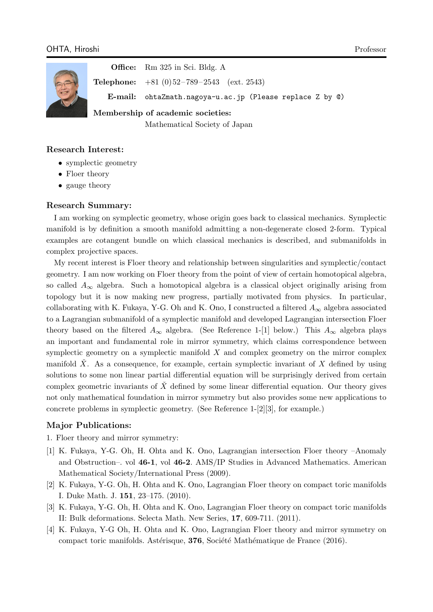

**Office:** Rm 325 in Sci. Bldg. A **Telephone:**  $+81$  (0) 52-789-2543 (ext. 2543) **E-mail:** ohtaZmath.nagoya-u.ac.jp (Please replace Z by @)

**Membership of academic societies:**

Mathematical Society of Japan

## **Research Interest:**

- symplectic geometry
- Floer theory
- *•* gauge theory

## **Research Summary:**

I am working on symplectic geometry, whose origin goes back to classical mechanics. Symplectic manifold is by definition a smooth manifold admitting a non-degenerate closed 2-form. Typical examples are cotangent bundle on which classical mechanics is described, and submanifolds in complex projective spaces.

My recent interest is Floer theory and relationship between singularities and symplectic/contact geometry. I am now working on Floer theory from the point of view of certain homotopical algebra, so called  $A_{\infty}$  algebra. Such a homotopical algebra is a classical object originally arising from topology but it is now making new progress, partially motivated from physics. In particular, collaborating with K. Fukaya, Y-G. Oh and K. Ono, I constructed a filtered  $A_{\infty}$  algebra associated to a Lagrangian submanifold of a symplectic manifold and developed Lagrangian intersection Floer theory based on the filtered  $A_{\infty}$  algebra. (See Reference 1-[1] below.) This  $A_{\infty}$  algebra plays an important and fundamental role in mirror symmetry, which claims correspondence between symplectic geometry on a symplectic manifold *X* and complex geometry on the mirror complex manifold  $\check{X}$ . As a consequence, for example, certain symplectic invariant of  $X$  defined by using solutions to some non linear partial differential equation will be surprisingly derived from certain complex geometric invariants of  $\overline{X}$  defined by some linear differential equation. Our theory gives not only mathematical foundation in mirror symmetry but also provides some new applications to concrete problems in symplectic geometry. (See Reference 1-[2][3], for example.)

## **Major Publications:**

1. Floer theory and mirror symmetry:

- [1] K. Fukaya, Y-G. Oh, H. Ohta and K. Ono, Lagrangian intersection Floer theory –Anomaly and Obstruction–. vol **46-1**, vol **46-2**. AMS/IP Studies in Advanced Mathematics. American Mathematical Society/International Press (2009).
- [2] K. Fukaya, Y-G. Oh, H. Ohta and K. Ono, Lagrangian Floer theory on compact toric manifolds I. Duke Math. J. **151**, 23–175. (2010).
- [3] K. Fukaya, Y-G. Oh, H. Ohta and K. Ono, Lagrangian Floer theory on compact toric manifolds II: Bulk deformations. Selecta Math. New Series, **17**, 609-711. (2011).
- [4] K. Fukaya, Y-G Oh, H. Ohta and K. Ono, Lagrangian Floer theory and mirror symmetry on compact toric manifolds. Astérisque, **376**, Société Mathématique de France (2016).